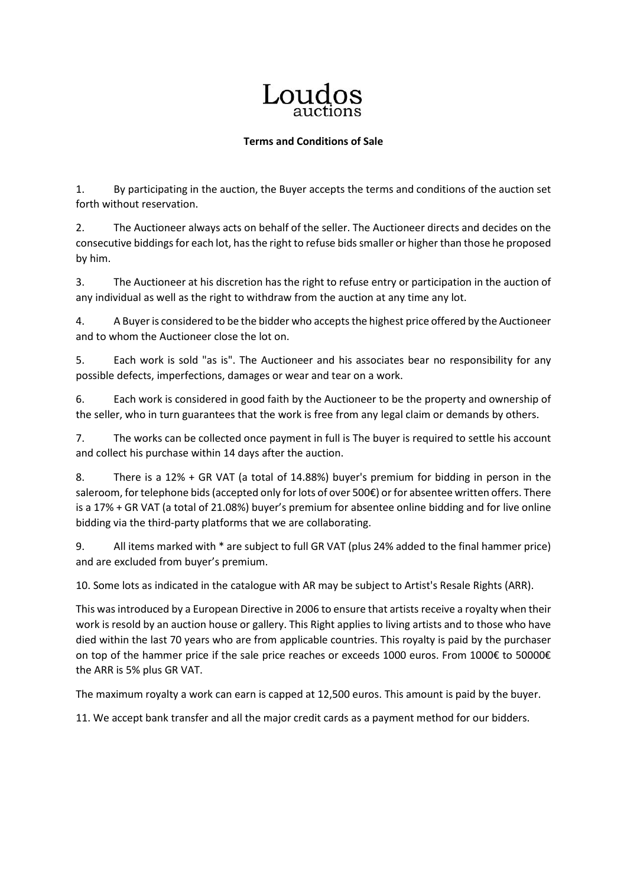## Loudos

## **Terms and Conditions of Sale**

1. By participating in the auction, the Buyer accepts the terms and conditions of the auction set forth without reservation.

2. The Auctioneer always acts on behalf of the seller. The Auctioneer directs and decides on the consecutive biddings for each lot, has the right to refuse bids smaller or higher than those he proposed by him.

3. The Auctioneer at his discretion has the right to refuse entry or participation in the auction of any individual as well as the right to withdraw from the auction at any time any lot.

4. A Buyer is considered to be the bidder who accepts the highest price offered by the Auctioneer and to whom the Auctioneer close the lot on.

5. Each work is sold "as is". The Auctioneer and his associates bear no responsibility for any possible defects, imperfections, damages or wear and tear on a work.

6. Each work is considered in good faith by the Auctioneer to be the property and ownership of the seller, who in turn guarantees that the work is free from any legal claim or demands by others.

7. The works can be collected once payment in full is The buyer is required to settle his account and collect his purchase within 14 days after the auction.

8. There is a 12% + GR VAT (a total of 14.88%) buyer's premium for bidding in person in the saleroom, for telephone bids (accepted only for lots of over 500€) or for absentee written offers. There is a 17% + GR VAT (a total of 21.08%) buyer's premium for absentee online bidding and for live online bidding via the third-party platforms that we are collaborating.

9. All items marked with \* are subject to full GR VAT (plus 24% added to the final hammer price) and are excluded from buyer's premium.

10. Some lots as indicated in the catalogue with AR may be subject to Artist's Resale Rights (ARR).

This was introduced by a European Directive in 2006 to ensure that artists receive a royalty when their work is resold by an auction house or gallery. This Right applies to living artists and to those who have died within the last 70 years who are from applicable countries. This royalty is paid by the purchaser on top of the hammer price if the sale price reaches or exceeds 1000 euros. From 1000€ to 50000€ the ARR is 5% plus GR VAT.

The maximum royalty a work can earn is capped at 12,500 euros. This amount is paid by the buyer.

11. We accept bank transfer and all the major credit cards as a payment method for our bidders.